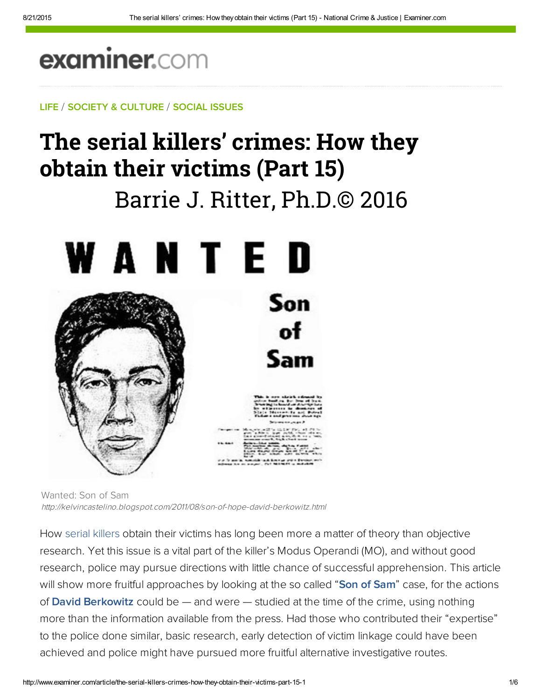## examiner.com

LIFE / SOCIETY & CULTURE / SOCIAL ISSUES

# The serial killers' crimes: How they obtain their victims (Part 15**)**

## Barrie J. Ritter, Ph.D.© 2016





Wanted: Son of Sam http://kelvincastelino.blogspot.com/2011/08/son-of-hope-david-berkowitz.html

How serial killers obtain their victims has long been more a matter of theory than objective research. Yet this issue is a vital part of the killer's Modus Operandi (MO), and without good research, police may pursue directions with little chance of successful apprehension. This article will show more fruitful approaches by looking at the so called "[Son of Sam"](http://crime.about.com/od/murder/p/sonofsam.htm) case, for the actions of **David Berkowitz** could be  $-$  and were  $-$  studied at the time of the crime, using nothing more than the information available from the press. Had those who contributed their "expertise" to the police done similar, basic research, early detection of victim linkage could have been achieved and police might have pursued more fruitful alternative investigative routes.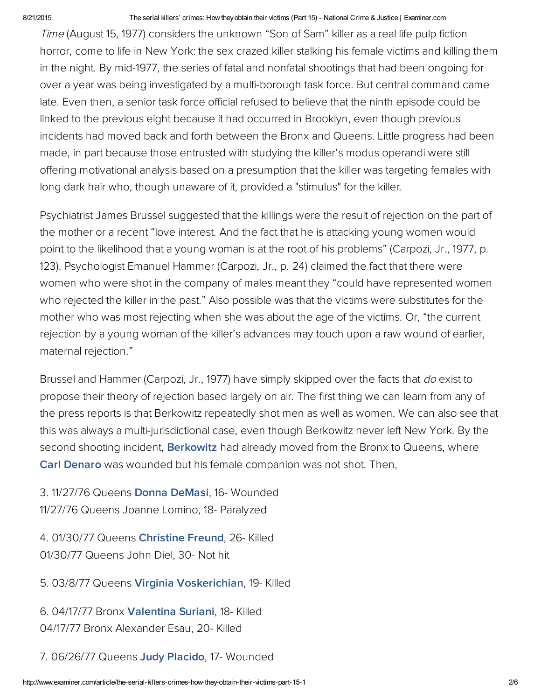#### 8/21/2015 The serial killers' crimes: How they obtain their victims (Part 15) National Crime & Justice | Examiner.com

Time (August 15, 1977) considers the unknown "Son of Sam" killer as a real life pulp fiction horror, come to life in New York: the sex crazed killer stalking his female victims and killing them in the night. By mid-1977, the series of fatal and nonfatal shootings that had been ongoing for over a year was being investigated by a multi-borough task force. But central command came late. Even then, a senior task force official refused to believe that the ninth episode could be linked to the previous eight because it had occurred in Brooklyn, even though previous incidents had moved back and forth between the Bronx and Queens. Little progress had been made, in part because those entrusted with studying the killer's modus operandi were still offering motivational analysis based on a presumption that the killer was targeting females with long dark hair who, though unaware of it, provided a "stimulus" for the killer.

Psychiatrist James Brussel suggested that the killings were the result of rejection on the part of the mother or a recent "love interest. And the fact that he is attacking young women would point to the likelihood that a young woman is at the root of his problems" (Carpozi, Jr., 1977, p. 123). Psychologist Emanuel Hammer (Carpozi, Jr., p. 24) claimed the fact that there were women who were shot in the company of males meant they "could have represented women who rejected the killer in the past." Also possible was that the victims were substitutes for the mother who was most rejecting when she was about the age of the victims. Or, "the current rejection by a young woman of the killer's advances may touch upon a raw wound of earlier, maternal rejection."

Brussel and Hammer (Carpozi, Jr., 1977) have simply skipped over the facts that *do* exist to propose their theory of rejection based largely on air. The first thing we can learn from any of the press reports is that Berkowitz repeatedly shot men as well as women. We can also see that this was always a multi-jurisdictional case, even though Berkowitz never left New York. By the second shooting incident, **[Berkowitz](http://www.nndb.com/people/278/000025203/)** had already moved from the Bronx to Queens, where [Carl Denaro w](https://en.wikipedia.org/wiki/David_Berkowitz#Carl_Denaro_and_Rosemary_Keenan_shooting)as wounded but his female companion was not shot. Then,

3. 11/27/76 Queens [Donna DeMasi](https://en.wikipedia.org/wiki/David_Berkowitz#Donna_DeMasi_and_Joanne_Lomino_shooting), 16- Wounded 11/27/76 Queens Joanne Lomino, 18- Paralyzed

4. 01/30/77 Queens [Christine Freund](https://en.wikipedia.org/wiki/David_Berkowitz#Christine_Freund_and_John_Diel_shooting), 26- Killed 01/30/77 Queens John Diel, 30- Not hit

5. 03/8/77 Queens [Virginia Voskerichian,](https://en.wikipedia.org/wiki/David_Berkowitz#Virginia_Voskerichian_shooting) 19- Killed

6. 04/17/77 Bronx [Valentina Suriani,](https://en.wikipedia.org/wiki/David_Berkowitz#Alexander_Esau_and_Valentina_Suriani_shooting) 18- Killed 04/17/77 Bronx Alexander Esau, 20- Killed

7. 06/26/77 Queens [Judy Placido,](https://en.wikipedia.org/wiki/David_Berkowitz#Sal_Lupo_and_Judy_Placido_shooting) 17- Wounded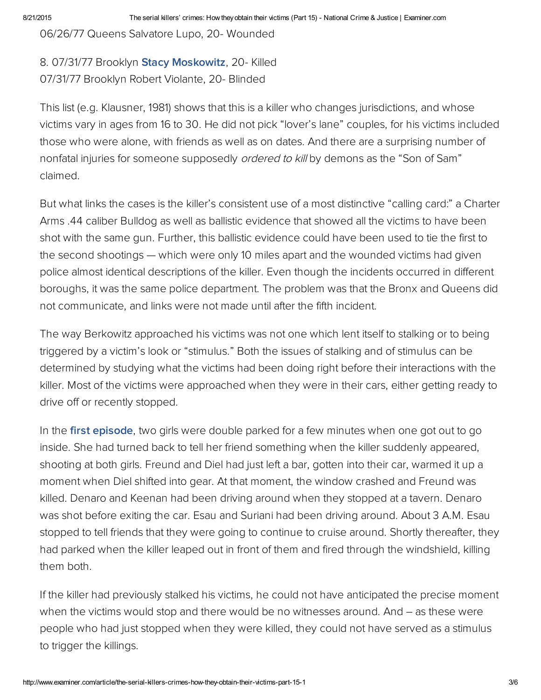06/26/77 Queens Salvatore Lupo, 20- Wounded

8. 07/31/77 Brooklyn **Stacy Moskowitz**, 20- Killed 07/31/77 Brooklyn Robert Violante, 20- Blinded

This list (e.g. Klausner, 1981) shows that this is a killer who changes jurisdictions, and whose victims vary in ages from 16 to 30. He did not pick "lover's lane" couples, for his victims included those who were alone, with friends as well as on dates. And there are a surprising number of nonfatal injuries for someone supposedly *ordered to kill* by demons as the "Son of Sam" claimed.

But what links the cases is the killer's consistent use of a most distinctive "calling card:" a Charter Arms .44 caliber Bulldog as well as ballistic evidence that showed all the victims to have been shot with the same gun. Further, this ballistic evidence could have been used to tie the first to the second shootings — which were only 10 miles apart and the wounded victims had given police almost identical descriptions of the killer. Even though the incidents occurred in different boroughs, it was the same police department. The problem was that the Bronx and Queens did not communicate, and links were not made until after the fifth incident.

The way Berkowitz approached his victims was not one which lent itself to stalking or to being triggered by a victim's look or "stimulus." Both the issues of stalking and of stimulus can be determined by studying what the victims had been doing right before their interactions with the killer. Most of the victims were approached when they were in their cars, either getting ready to drive off or recently stopped.

In the [first episode,](http://bit.ly/MLmWL0) two girls were double parked for a few minutes when one got out to go inside. She had turned back to tell her friend something when the killer suddenly appeared, shooting at both girls. Freund and Diel had just left a bar, gotten into their car, warmed it up a moment when Diel shifted into gear. At that moment, the window crashed and Freund was killed. Denaro and Keenan had been driving around when they stopped at a tavern. Denaro was shot before exiting the car. Esau and Suriani had been driving around. About 3 A.M. Esau stopped to tell friends that they were going to continue to cruise around. Shortly thereafter, they had parked when the killer leaped out in front of them and fired through the windshield, killing them both.

If the killer had previously stalked his victims, he could not have anticipated the precise moment when the victims would stop and there would be no witnesses around. And – as these were people who had just stopped when they were killed, they could not have served as a stimulus to trigger the killings.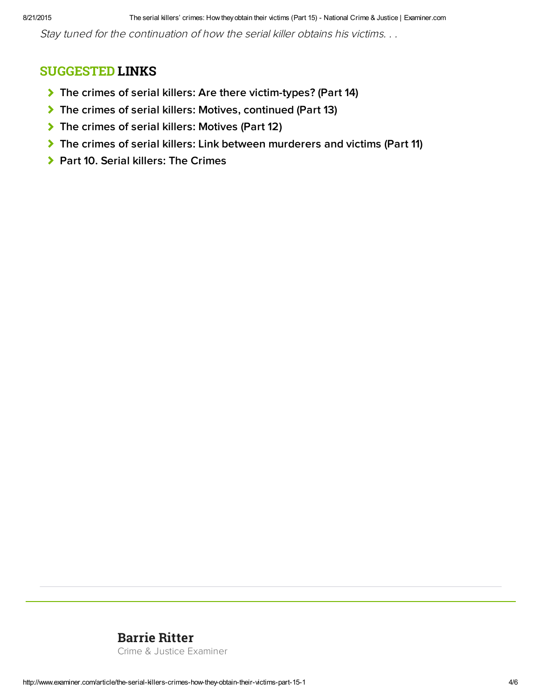Stay tuned for the continuation of how the serial killer obtains his victims. . .

#### SUGGESTED LINKS

- [The crimes of serial killers: Are there victim-types? \(Part 14\)](http://www.ritterhomicideresearch.com/articles/Part-14.pdf)
- [The crimes of serial killers: Motives, continued \(Part 13\)](http://www.ritterhomicideresearch.com/articles/Part-13.pdf)
- [The crimes of serial killers: Motives \(Part 12\)](http://www.ritterhomicideresearch.com/articles/Part-12.pdf)
- [The crimes of serial killers: Link between murderers and victims \(Part 11\)](http://www.ritterhomicideresearch.com/articles/Part-11.pdf)
- **> [Part 10. Serial killers: The Crimes](http://www.ritterhomicideresearch.com/articles/Part-10.pdf)**

### [Barrie Ritter](www.ritterhomicideresearch.com)

Crime & Justice Examiner